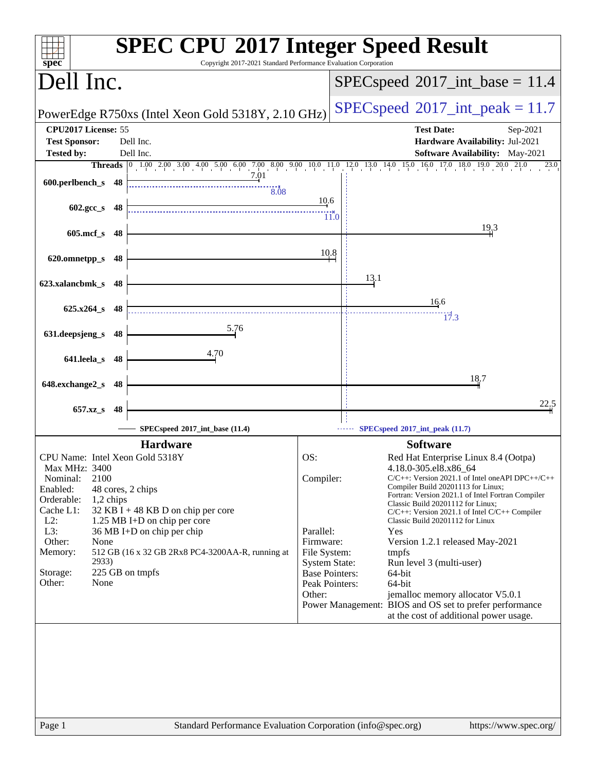|                                                                               | <b>SPEC CPU®2017 Integer Speed Result</b><br>Copyright 2017-2021 Standard Performance Evaluation Corporation                                    |
|-------------------------------------------------------------------------------|-------------------------------------------------------------------------------------------------------------------------------------------------|
| spec <sup>®</sup><br>Dell Inc.                                                | $SPEC speed^{\circ}2017\_int\_base = 11.4$                                                                                                      |
| PowerEdge R750xs (Intel Xeon Gold 5318Y, 2.10 GHz)                            | $SPEC speed^{\circ}2017\_int\_peak = 11.7$                                                                                                      |
| CPU2017 License: 55<br>Dell Inc.<br><b>Test Sponsor:</b>                      | <b>Test Date:</b><br>Sep-2021<br>Hardware Availability: Jul-2021                                                                                |
| Dell Inc.<br><b>Tested by:</b>                                                | <b>Software Availability:</b> May-2021                                                                                                          |
| 7.01<br>600.perlbench_s 48<br>8.08                                            | Threads 0 1.00 2.00 3.00 4.00 5.00 6.00 7.00 8.00 9.00 10.0 11.0 12.0 13.0 14.0 15.0 16.0 17.0 18.0 19.0 20.0<br>21.0<br>23.0                   |
| $602 \text{.gcc s}$ 48                                                        | 10.6<br>11.0                                                                                                                                    |
| $605$ .mcf_s<br>- 48                                                          | 19,3                                                                                                                                            |
| 620.omnetpp_s<br>-48                                                          | 10.8                                                                                                                                            |
| 623.xalancbmk_s 48                                                            | 13.1                                                                                                                                            |
| $625.x264_s$ 48                                                               | 16.6<br>17.3                                                                                                                                    |
| 5.76<br>631.deepsjeng_s 48                                                    |                                                                                                                                                 |
| 4.70<br>641.leela_s 48                                                        |                                                                                                                                                 |
| 648.exchange2_s<br>-48                                                        | 18.7                                                                                                                                            |
| 657.xz_s<br>48                                                                | 22,5                                                                                                                                            |
| SPECspeed®2017_int_base (11.4)                                                | SPECspeed®2017_int_peak (11.7)                                                                                                                  |
| <b>Hardware</b>                                                               | <b>Software</b>                                                                                                                                 |
| CPU Name: Intel Xeon Gold 5318Y                                               | OS:<br>Red Hat Enterprise Linux 8.4 (Ootpa)                                                                                                     |
| Max MHz: 3400<br>2100<br>Nominal:<br>Enabled:<br>48 cores, 2 chips            | 4.18.0-305.el8.x86_64<br>Compiler:<br>$C/C++$ : Version 2021.1 of Intel one API DPC++/C++<br>Compiler Build 20201113 for Linux;                 |
| Orderable:<br>1,2 chips<br>Cache L1:<br>$32$ KB I + 48 KB D on chip per core  | Fortran: Version 2021.1 of Intel Fortran Compiler<br>Classic Build 20201112 for Linux;                                                          |
| $L2$ :<br>1.25 MB I+D on chip per core                                        | $C/C++$ : Version 2021.1 of Intel $C/C++$ Compiler<br>Classic Build 20201112 for Linux                                                          |
| L3:<br>36 MB I+D on chip per chip                                             | Parallel:<br>Yes                                                                                                                                |
| Other:<br>None<br>512 GB (16 x 32 GB 2Rx8 PC4-3200AA-R, running at<br>Memory: | Firmware:<br>Version 1.2.1 released May-2021<br>File System:<br>tmpfs                                                                           |
| 2933)<br>225 GB on tmpfs<br>Storage:                                          | <b>System State:</b><br>Run level 3 (multi-user)                                                                                                |
| Other:<br>None                                                                | <b>Base Pointers:</b><br>64-bit<br>Peak Pointers:<br>64-bit                                                                                     |
|                                                                               | Other:<br>jemalloc memory allocator V5.0.1<br>Power Management: BIOS and OS set to prefer performance<br>at the cost of additional power usage. |
|                                                                               |                                                                                                                                                 |
|                                                                               |                                                                                                                                                 |
|                                                                               |                                                                                                                                                 |
|                                                                               |                                                                                                                                                 |
|                                                                               |                                                                                                                                                 |
| Page 1                                                                        | Standard Performance Evaluation Corporation (info@spec.org)<br>https://www.spec.org/                                                            |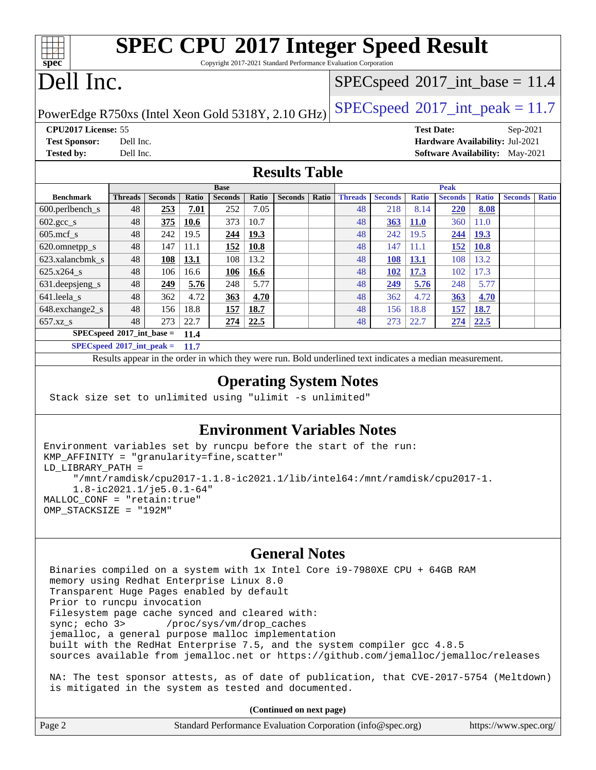| <b>SPEC CPU®2017 Integer Speed Result</b>          |                |                |       |                |              |                |                                            |                                                                                                          |                |                   |                |              |                                        |              |
|----------------------------------------------------|----------------|----------------|-------|----------------|--------------|----------------|--------------------------------------------|----------------------------------------------------------------------------------------------------------|----------------|-------------------|----------------|--------------|----------------------------------------|--------------|
| spec                                               |                |                |       |                |              |                |                                            | Copyright 2017-2021 Standard Performance Evaluation Corporation                                          |                |                   |                |              |                                        |              |
| Dell Inc.                                          |                |                |       |                |              |                |                                            | $SPEC speed^{\circ}2017\_int\_base = 11.4$                                                               |                |                   |                |              |                                        |              |
|                                                    |                |                |       |                |              |                |                                            |                                                                                                          |                |                   |                |              |                                        |              |
| PowerEdge R750xs (Intel Xeon Gold 5318Y, 2.10 GHz) |                |                |       |                |              |                | $SPEC speed^{\circ}2017\_int\_peak = 11.7$ |                                                                                                          |                |                   |                |              |                                        |              |
| CPU2017 License: 55                                |                |                |       |                |              |                |                                            |                                                                                                          |                | <b>Test Date:</b> |                |              | Sep-2021                               |              |
| <b>Test Sponsor:</b>                               | Dell Inc.      |                |       |                |              |                |                                            |                                                                                                          |                |                   |                |              | Hardware Availability: Jul-2021        |              |
| <b>Tested by:</b>                                  | Dell Inc.      |                |       |                |              |                |                                            |                                                                                                          |                |                   |                |              | <b>Software Availability:</b> May-2021 |              |
| <b>Results Table</b>                               |                |                |       |                |              |                |                                            |                                                                                                          |                |                   |                |              |                                        |              |
|                                                    |                |                |       | <b>Base</b>    |              |                |                                            |                                                                                                          |                |                   | Peak           |              |                                        |              |
| <b>Benchmark</b>                                   | <b>Threads</b> | <b>Seconds</b> | Ratio | <b>Seconds</b> | <b>Ratio</b> | <b>Seconds</b> | Ratio                                      | <b>Threads</b>                                                                                           | <b>Seconds</b> | <b>Ratio</b>      | <b>Seconds</b> | <b>Ratio</b> | <b>Seconds</b>                         | <b>Ratio</b> |
| 600.perlbench_s                                    | 48             | 253            | 7.01  | 252            | 7.05         |                |                                            | 48                                                                                                       | 218            | 8.14              | 220            | 8.08         |                                        |              |
| $602.\text{sec}\_\text{s}$                         | 48             | 375            | 10.6  | 373            | 10.7         |                |                                            | 48                                                                                                       | 363            | <b>11.0</b>       | 360            | 11.0         |                                        |              |
| $605$ .mcf s                                       | 48             | 242            | 19.5  | 244            | 19.3         |                |                                            | 48                                                                                                       | 242            | 19.5              | 244            | <b>19.3</b>  |                                        |              |
| 620.omnetpp_s                                      | 48             | 147            | 11.1  | 152            | 10.8         |                |                                            | 48                                                                                                       | 147            | 11.1              | 152            | <b>10.8</b>  |                                        |              |
| 623.xalancbmk s                                    | 48             | <b>108</b>     | 13.1  | 108            | 13.2         |                |                                            | 48                                                                                                       | 108            | <b>13.1</b>       | 108            | 13.2         |                                        |              |
| 625.x264_s                                         | 48             | 106            | 16.6  | 106            | 16.6         |                |                                            | 48                                                                                                       | <b>102</b>     | 17.3              | 102            | 17.3         |                                        |              |
| 631. deepsieng s                                   | 48             | 249            | 5.76  | 248            | 5.77         |                |                                            | 48                                                                                                       | 249            | 5.76              | 248            | 5.77         |                                        |              |
| 641.leela s                                        | 48             | 362            | 4.72  | 363            | 4.70         |                |                                            | 48                                                                                                       | 362            | 4.72              | 363            | 4.70         |                                        |              |
| 648.exchange2_s                                    | 48             | 156            | 18.8  | 157            | 18.7         |                |                                            | 48                                                                                                       | 156            | 18.8              | <b>157</b>     | 18.7         |                                        |              |
| 657.xz_s                                           | 48             | 273            | 22.7  | 274            | 22.5         |                |                                            | 48                                                                                                       | 273            | 22.7              | 274            | 22.5         |                                        |              |
| $SPECspeed*2017\_int\_base =$                      |                |                | 11.4  |                |              |                |                                            |                                                                                                          |                |                   |                |              |                                        |              |
| $SPECspeed*2017\_int\_peak =$                      |                |                | 11.7  |                |              |                |                                            |                                                                                                          |                |                   |                |              |                                        |              |
|                                                    |                |                |       |                |              |                |                                            | Results appear in the order in which they were run. Bold underlined text indicates a median measurement. |                |                   |                |              |                                        |              |
| <b>Operating System Notes</b>                      |                |                |       |                |              |                |                                            |                                                                                                          |                |                   |                |              |                                        |              |

Stack size set to unlimited using "ulimit -s unlimited"

## **[Environment Variables Notes](http://www.spec.org/auto/cpu2017/Docs/result-fields.html#EnvironmentVariablesNotes)**

```
Environment variables set by runcpu before the start of the run:
KMP_AFFINITY = "granularity=fine,scatter"
LD_LIBRARY_PATH =
      "/mnt/ramdisk/cpu2017-1.1.8-ic2021.1/lib/intel64:/mnt/ramdisk/cpu2017-1.
      1.8-ic2021.1/je5.0.1-64"
MALLOC_CONF = "retain:true"
OMP_STACKSIZE = "192M"
```
## **[General Notes](http://www.spec.org/auto/cpu2017/Docs/result-fields.html#GeneralNotes)**

 Binaries compiled on a system with 1x Intel Core i9-7980XE CPU + 64GB RAM memory using Redhat Enterprise Linux 8.0 Transparent Huge Pages enabled by default Prior to runcpu invocation Filesystem page cache synced and cleared with: sync; echo 3> /proc/sys/vm/drop\_caches jemalloc, a general purpose malloc implementation built with the RedHat Enterprise 7.5, and the system compiler gcc 4.8.5 sources available from jemalloc.net or <https://github.com/jemalloc/jemalloc/releases> NA: The test sponsor attests, as of date of publication, that CVE-2017-5754 (Meltdown) is mitigated in the system as tested and documented.

**(Continued on next page)**

| Page 2 | Standard Performance Evaluation Corporation (info@spec.org) | https://www.spec.org/ |
|--------|-------------------------------------------------------------|-----------------------|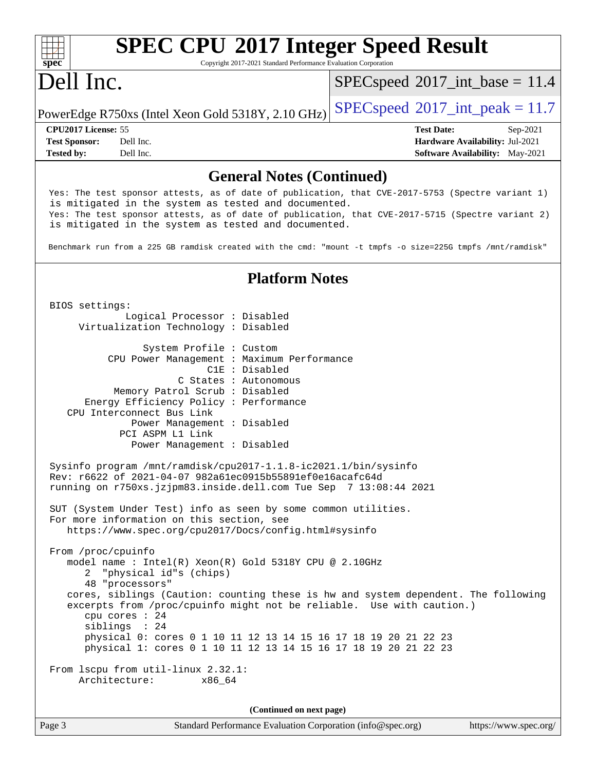#### **[spec](http://www.spec.org/) [SPEC CPU](http://www.spec.org/auto/cpu2017/Docs/result-fields.html#SPECCPU2017IntegerSpeedResult)[2017 Integer Speed Result](http://www.spec.org/auto/cpu2017/Docs/result-fields.html#SPECCPU2017IntegerSpeedResult)** Copyright 2017-2021 Standard Performance Evaluation Corporation Dell Inc. PowerEdge R750xs (Intel Xeon Gold 5318Y, 2.10 GHz) [SPECspeed](http://www.spec.org/auto/cpu2017/Docs/result-fields.html#SPECspeed2017intpeak)<sup>®</sup>[2017\\_int\\_peak = 1](http://www.spec.org/auto/cpu2017/Docs/result-fields.html#SPECspeed2017intpeak)1.7  $SPECspeed^{\circ}2017\_int\_base = 11.4$  $SPECspeed^{\circ}2017\_int\_base = 11.4$ **[CPU2017 License:](http://www.spec.org/auto/cpu2017/Docs/result-fields.html#CPU2017License)** 55 **[Test Date:](http://www.spec.org/auto/cpu2017/Docs/result-fields.html#TestDate)** Sep-2021 **[Test Sponsor:](http://www.spec.org/auto/cpu2017/Docs/result-fields.html#TestSponsor)** Dell Inc. **[Hardware Availability:](http://www.spec.org/auto/cpu2017/Docs/result-fields.html#HardwareAvailability)** Jul-2021 **[Tested by:](http://www.spec.org/auto/cpu2017/Docs/result-fields.html#Testedby)** Dell Inc. Dell Inc. **[Software Availability:](http://www.spec.org/auto/cpu2017/Docs/result-fields.html#SoftwareAvailability)** May-2021 **[General Notes \(Continued\)](http://www.spec.org/auto/cpu2017/Docs/result-fields.html#GeneralNotes)** Yes: The test sponsor attests, as of date of publication, that CVE-2017-5753 (Spectre variant 1) is mitigated in the system as tested and documented. Yes: The test sponsor attests, as of date of publication, that CVE-2017-5715 (Spectre variant 2) is mitigated in the system as tested and documented. Benchmark run from a 225 GB ramdisk created with the cmd: "mount -t tmpfs -o size=225G tmpfs /mnt/ramdisk" **[Platform Notes](http://www.spec.org/auto/cpu2017/Docs/result-fields.html#PlatformNotes)** BIOS settings: Logical Processor : Disabled Virtualization Technology : Disabled System Profile : Custom CPU Power Management : Maximum Performance C1E : Disabled C States : Autonomous Memory Patrol Scrub : Disabled Energy Efficiency Policy : Performance CPU Interconnect Bus Link Power Management : Disabled PCI ASPM L1 Link Power Management : Disabled Sysinfo program /mnt/ramdisk/cpu2017-1.1.8-ic2021.1/bin/sysinfo Rev: r6622 of 2021-04-07 982a61ec0915b55891ef0e16acafc64d running on r750xs.jzjpm83.inside.dell.com Tue Sep 7 13:08:44 2021 SUT (System Under Test) info as seen by some common utilities. For more information on this section, see <https://www.spec.org/cpu2017/Docs/config.html#sysinfo> From /proc/cpuinfo model name : Intel(R) Xeon(R) Gold 5318Y CPU @ 2.10GHz 2 "physical id"s (chips) 48 "processors" cores, siblings (Caution: counting these is hw and system dependent. The following excerpts from /proc/cpuinfo might not be reliable. Use with caution.) cpu cores : 24 siblings : 24 physical 0: cores 0 1 10 11 12 13 14 15 16 17 18 19 20 21 22 23 physical 1: cores 0 1 10 11 12 13 14 15 16 17 18 19 20 21 22 23 From lscpu from util-linux 2.32.1: Architecture: x86\_64 **(Continued on next page)**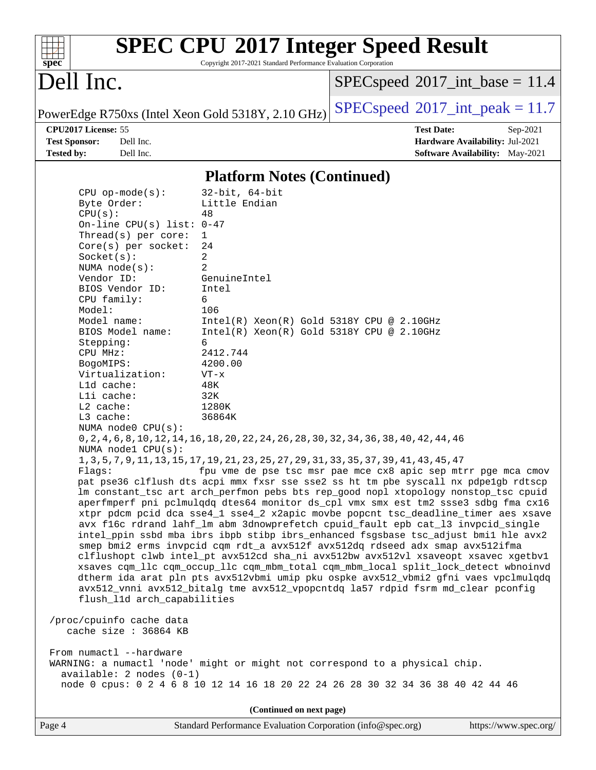| spec |  |  |  |  |  |
|------|--|--|--|--|--|

# **[SPEC CPU](http://www.spec.org/auto/cpu2017/Docs/result-fields.html#SPECCPU2017IntegerSpeedResult)[2017 Integer Speed Result](http://www.spec.org/auto/cpu2017/Docs/result-fields.html#SPECCPU2017IntegerSpeedResult)**

Copyright 2017-2021 Standard Performance Evaluation Corporation

# Dell Inc.

 $SPECspeed^{\circ}2017\_int\_base = 11.4$  $SPECspeed^{\circ}2017\_int\_base = 11.4$ 

PowerEdge R750xs (Intel Xeon Gold 5318Y, 2.10 GHz) [SPECspeed](http://www.spec.org/auto/cpu2017/Docs/result-fields.html#SPECspeed2017intpeak)<sup>®</sup>[2017\\_int\\_peak = 1](http://www.spec.org/auto/cpu2017/Docs/result-fields.html#SPECspeed2017intpeak)1.7

**[CPU2017 License:](http://www.spec.org/auto/cpu2017/Docs/result-fields.html#CPU2017License)** 55 **[Test Date:](http://www.spec.org/auto/cpu2017/Docs/result-fields.html#TestDate)** Sep-2021 **[Test Sponsor:](http://www.spec.org/auto/cpu2017/Docs/result-fields.html#TestSponsor)** Dell Inc. **[Hardware Availability:](http://www.spec.org/auto/cpu2017/Docs/result-fields.html#HardwareAvailability)** Jul-2021 **[Tested by:](http://www.spec.org/auto/cpu2017/Docs/result-fields.html#Testedby)** Dell Inc. **[Software Availability:](http://www.spec.org/auto/cpu2017/Docs/result-fields.html#SoftwareAvailability)** May-2021

### **[Platform Notes \(Continued\)](http://www.spec.org/auto/cpu2017/Docs/result-fields.html#PlatformNotes)**

 CPU op-mode(s): 32-bit, 64-bit Byte Order: Little Endian CPU(s): 48 On-line CPU(s) list: 0-47 Thread(s) per core: 1 Core(s) per socket: 24  $Socket(s):$  NUMA node(s): 2 Vendor ID: GenuineIntel BIOS Vendor ID: Intel CPU family: 6 Model: 106 Model name: Intel(R) Xeon(R) Gold 5318Y CPU @ 2.10GHz<br>BIOS Model name: Intel(R) Xeon(R) Gold 5318Y CPU @ 2.10GHz  $Intel(R)$  Xeon(R) Gold 5318Y CPU @ 2.10GHz Stepping: 6 CPU MHz: 2412.744 BogoMIPS: 4200.00 Virtualization: VT-x L1d cache: 48K L1i cache: 32K L2 cache: 1280K L3 cache: 36864K NUMA node0 CPU(s): 0,2,4,6,8,10,12,14,16,18,20,22,24,26,28,30,32,34,36,38,40,42,44,46 NUMA node1 CPU(s): 1,3,5,7,9,11,13,15,17,19,21,23,25,27,29,31,33,35,37,39,41,43,45,47 Flags: fpu vme de pse tsc msr pae mce cx8 apic sep mtrr pge mca cmov pat pse36 clflush dts acpi mmx fxsr sse sse2 ss ht tm pbe syscall nx pdpe1gb rdtscp lm constant\_tsc art arch\_perfmon pebs bts rep\_good nopl xtopology nonstop\_tsc cpuid aperfmperf pni pclmulqdq dtes64 monitor ds\_cpl vmx smx est tm2 ssse3 sdbg fma cx16 xtpr pdcm pcid dca sse4\_1 sse4\_2 x2apic movbe popcnt tsc\_deadline\_timer aes xsave avx f16c rdrand lahf\_lm abm 3dnowprefetch cpuid\_fault epb cat\_l3 invpcid\_single intel\_ppin ssbd mba ibrs ibpb stibp ibrs\_enhanced fsgsbase tsc\_adjust bmi1 hle avx2 smep bmi2 erms invpcid cqm rdt\_a avx512f avx512dq rdseed adx smap avx512ifma clflushopt clwb intel\_pt avx512cd sha\_ni avx512bw avx512vl xsaveopt xsavec xgetbv1 xsaves cqm\_llc cqm\_occup\_llc cqm\_mbm\_total cqm\_mbm\_local split\_lock\_detect wbnoinvd dtherm ida arat pln pts avx512vbmi umip pku ospke avx512\_vbmi2 gfni vaes vpclmulqdq avx512\_vnni avx512\_bitalg tme avx512\_vpopcntdq la57 rdpid fsrm md\_clear pconfig flush\_l1d arch\_capabilities /proc/cpuinfo cache data cache size : 36864 KB From numactl --hardware WARNING: a numactl 'node' might or might not correspond to a physical chip. available: 2 nodes (0-1) node 0 cpus: 0 2 4 6 8 10 12 14 16 18 20 22 24 26 28 30 32 34 36 38 40 42 44 46 **(Continued on next page)**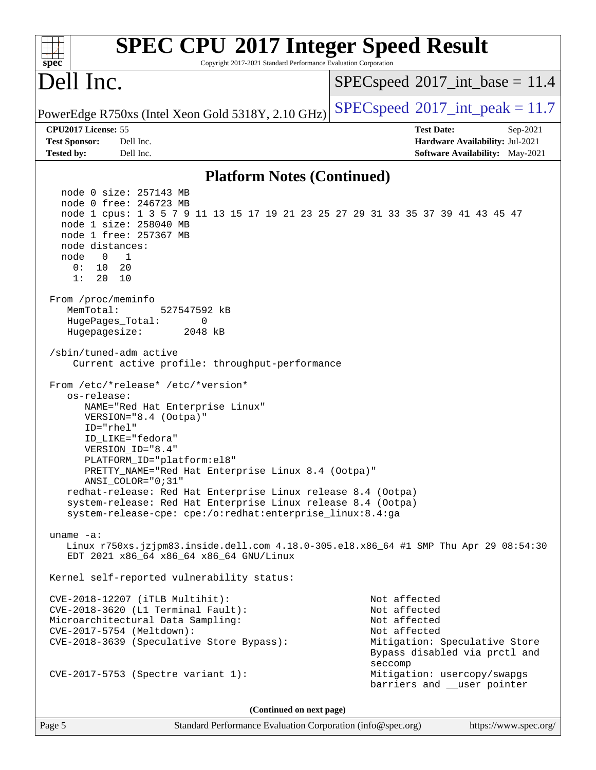| <b>SPEC CPU®2017 Integer Speed Result</b><br>Copyright 2017-2021 Standard Performance Evaluation Corporation<br>spec <sup>®</sup>                                                                                                                                                                                                                                                                  |                                                                                                                                           |
|----------------------------------------------------------------------------------------------------------------------------------------------------------------------------------------------------------------------------------------------------------------------------------------------------------------------------------------------------------------------------------------------------|-------------------------------------------------------------------------------------------------------------------------------------------|
| Dell Inc.                                                                                                                                                                                                                                                                                                                                                                                          | $SPEC speed^{\circ}2017\_int\_base = 11.4$                                                                                                |
| PowerEdge R750xs (Intel Xeon Gold 5318Y, 2.10 GHz)                                                                                                                                                                                                                                                                                                                                                 | $SPEC speed^{\circ}2017\_int\_peak = 11.7$                                                                                                |
| CPU2017 License: 55                                                                                                                                                                                                                                                                                                                                                                                | <b>Test Date:</b><br>Sep-2021                                                                                                             |
| <b>Test Sponsor:</b><br>Dell Inc.                                                                                                                                                                                                                                                                                                                                                                  | Hardware Availability: Jul-2021                                                                                                           |
| <b>Tested by:</b><br>Dell Inc.                                                                                                                                                                                                                                                                                                                                                                     | Software Availability: May-2021                                                                                                           |
| <b>Platform Notes (Continued)</b>                                                                                                                                                                                                                                                                                                                                                                  |                                                                                                                                           |
| node 0 size: 257143 MB<br>node 0 free: 246723 MB<br>node 1 cpus: 1 3 5 7 9 11 13 15 17 19 21 23 25 27 29 31 33 35 37 39 41 43 45 47<br>node 1 size: 258040 MB<br>node 1 free: 257367 MB<br>node distances:<br>node<br>$\overline{\phantom{0}}$<br>1<br>0 :<br>10<br>- 20<br>1:<br>20<br>10<br>From /proc/meminfo<br>MemTotal:<br>527547592 kB<br>HugePages_Total:<br>0<br>Hugepagesize:<br>2048 kB |                                                                                                                                           |
| /sbin/tuned-adm active<br>Current active profile: throughput-performance<br>From /etc/*release* /etc/*version*                                                                                                                                                                                                                                                                                     |                                                                                                                                           |
| os-release:<br>NAME="Red Hat Enterprise Linux"<br>VERSION="8.4 (Ootpa)"<br>$ID="rhe1"$<br>ID LIKE="fedora"<br>VERSION_ID="8.4"<br>PLATFORM_ID="platform:el8"                                                                                                                                                                                                                                       |                                                                                                                                           |
| PRETTY_NAME="Red Hat Enterprise Linux 8.4 (Ootpa)"<br>$ANSI\_COLOR = "0; 31"$<br>redhat-release: Red Hat Enterprise Linux release 8.4 (Ootpa)<br>system-release: Red Hat Enterprise Linux release 8.4 (Ootpa)<br>system-release-cpe: cpe:/o:redhat:enterprise_linux:8.4:ga                                                                                                                         |                                                                                                                                           |
| uname $-a$ :<br>Linux r750xs.jzjpm83.inside.dell.com 4.18.0-305.el8.x86_64 #1 SMP Thu Apr 29 08:54:30<br>EDT 2021 x86_64 x86_64 x86_64 GNU/Linux                                                                                                                                                                                                                                                   |                                                                                                                                           |
| Kernel self-reported vulnerability status:                                                                                                                                                                                                                                                                                                                                                         |                                                                                                                                           |
| CVE-2018-12207 (iTLB Multihit):<br>CVE-2018-3620 (L1 Terminal Fault):<br>Microarchitectural Data Sampling:<br>CVE-2017-5754 (Meltdown):<br>CVE-2018-3639 (Speculative Store Bypass):                                                                                                                                                                                                               | Not affected<br>Not affected<br>Not affected<br>Not affected<br>Mitigation: Speculative Store<br>Bypass disabled via prctl and<br>seccomp |
| CVE-2017-5753 (Spectre variant 1):                                                                                                                                                                                                                                                                                                                                                                 | Mitigation: usercopy/swapgs<br>barriers and __user pointer                                                                                |
| (Continued on next page)                                                                                                                                                                                                                                                                                                                                                                           |                                                                                                                                           |

Page 5 Standard Performance Evaluation Corporation [\(info@spec.org\)](mailto:info@spec.org) <https://www.spec.org/>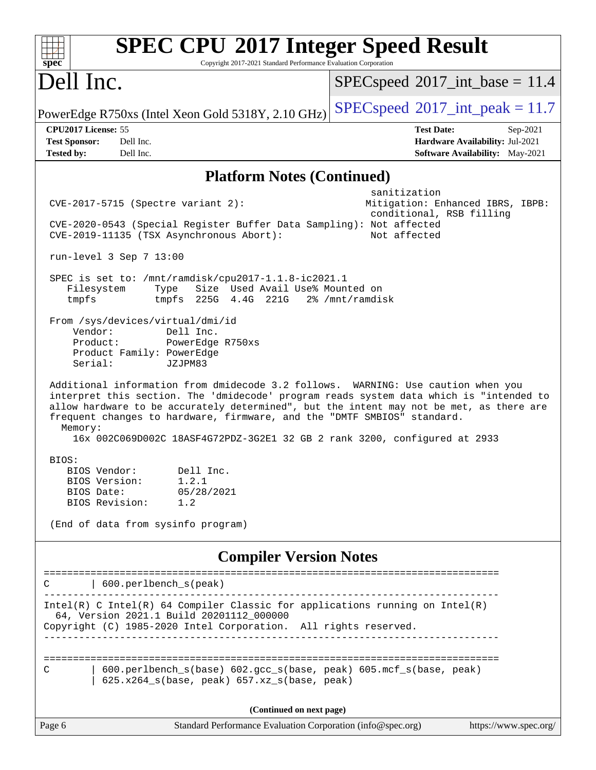| <b>SPEC CPU®2017 Integer Speed Result</b><br>spec<br>Copyright 2017-2021 Standard Performance Evaluation Corporation                                                                                                                                                                                                                                                                                                                       |                                                                                                       |
|--------------------------------------------------------------------------------------------------------------------------------------------------------------------------------------------------------------------------------------------------------------------------------------------------------------------------------------------------------------------------------------------------------------------------------------------|-------------------------------------------------------------------------------------------------------|
| Dell Inc.                                                                                                                                                                                                                                                                                                                                                                                                                                  | $SPEC speed^{\circ}2017\_int\_base = 11.4$                                                            |
| PowerEdge R750xs (Intel Xeon Gold 5318Y, 2.10 GHz)                                                                                                                                                                                                                                                                                                                                                                                         | $SPEC speed^{\circ}2017\_int\_peak = 11.7$                                                            |
| CPU2017 License: 55<br><b>Test Sponsor:</b><br>Dell Inc.<br><b>Tested by:</b><br>Dell Inc.                                                                                                                                                                                                                                                                                                                                                 | <b>Test Date:</b><br>$Sep-2021$<br>Hardware Availability: Jul-2021<br>Software Availability: May-2021 |
| <b>Platform Notes (Continued)</b>                                                                                                                                                                                                                                                                                                                                                                                                          |                                                                                                       |
| $CVE-2017-5715$ (Spectre variant 2):<br>CVE-2020-0543 (Special Register Buffer Data Sampling): Not affected<br>CVE-2019-11135 (TSX Asynchronous Abort):                                                                                                                                                                                                                                                                                    | sanitization<br>Mitigation: Enhanced IBRS, IBPB:<br>conditional, RSB filling<br>Not affected          |
| run-level 3 Sep 7 13:00                                                                                                                                                                                                                                                                                                                                                                                                                    |                                                                                                       |
| SPEC is set to: /mnt/ramdisk/cpu2017-1.1.8-ic2021.1<br>Filesystem<br>Size Used Avail Use% Mounted on<br>Type<br>tmpfs 225G 4.4G 221G 2% /mnt/ramdisk<br>tmpfs<br>From /sys/devices/virtual/dmi/id                                                                                                                                                                                                                                          |                                                                                                       |
| Vendor:<br>Dell Inc.<br>Product:<br>PowerEdge R750xs<br>Product Family: PowerEdge<br>Serial:<br>JZJPM83                                                                                                                                                                                                                                                                                                                                    |                                                                                                       |
| Additional information from dmidecode 3.2 follows. WARNING: Use caution when you<br>interpret this section. The 'dmidecode' program reads system data which is "intended to<br>allow hardware to be accurately determined", but the intent may not be met, as there are<br>frequent changes to hardware, firmware, and the "DMTF SMBIOS" standard.<br>Memory:<br>16x 002C069D002C 18ASF4G72PDZ-3G2E1 32 GB 2 rank 3200, configured at 2933 |                                                                                                       |
| BIOS:<br>BIOS Vendor:<br>Dell Inc.<br>BIOS Version:<br>1.2.1<br>BIOS Date:<br>05/28/2021<br>BIOS Revision:<br>1.2<br>(End of data from sysinfo program)                                                                                                                                                                                                                                                                                    |                                                                                                       |
|                                                                                                                                                                                                                                                                                                                                                                                                                                            |                                                                                                       |
| <b>Compiler Version Notes</b>                                                                                                                                                                                                                                                                                                                                                                                                              |                                                                                                       |
| 600.perlbench_s(peak)                                                                                                                                                                                                                                                                                                                                                                                                                      |                                                                                                       |
| $Intel(R)$ C Intel(R) 64 Compiler Classic for applications running on Intel(R)<br>64, Version 2021.1 Build 20201112_000000<br>Copyright (C) 1985-2020 Intel Corporation. All rights reserved.                                                                                                                                                                                                                                              |                                                                                                       |
| 600.perlbench_s(base) 602.gcc_s(base, peak) 605.mcf_s(base, peak)<br>C<br>625.x264_s(base, peak) 657.xz_s(base, peak)                                                                                                                                                                                                                                                                                                                      |                                                                                                       |
| (Continued on next page)                                                                                                                                                                                                                                                                                                                                                                                                                   |                                                                                                       |
| Standard Performance Evaluation Corporation (info@spec.org)<br>Page 6                                                                                                                                                                                                                                                                                                                                                                      | https://www.spec.org/                                                                                 |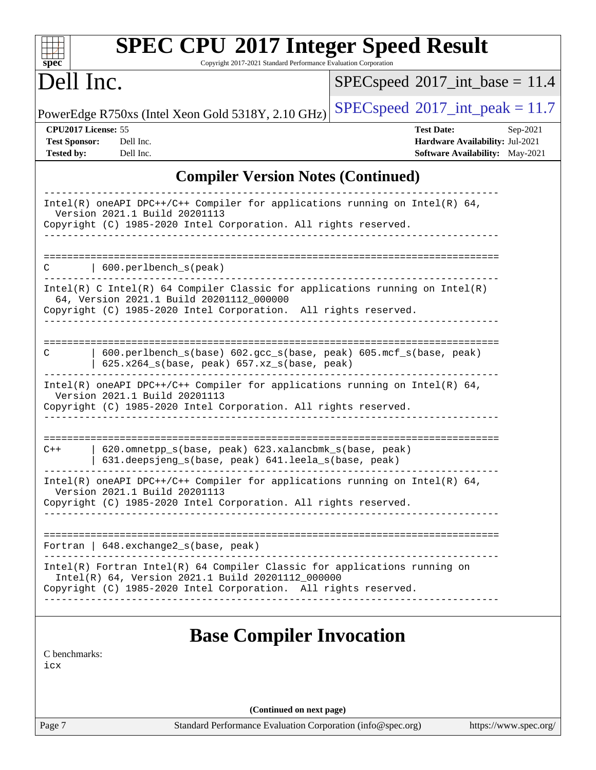| spec <sup>®</sup>                                                | <b>SPEC CPU®2017 Integer Speed Result</b><br>Copyright 2017-2021 Standard Performance Evaluation Corporation                                                                                      |                                            |                                                                                |
|------------------------------------------------------------------|---------------------------------------------------------------------------------------------------------------------------------------------------------------------------------------------------|--------------------------------------------|--------------------------------------------------------------------------------|
| Dell Inc.                                                        |                                                                                                                                                                                                   | $SPEC speed^{\circ}2017\_int\_base = 11.4$ |                                                                                |
|                                                                  | PowerEdge R750xs (Intel Xeon Gold 5318Y, 2.10 GHz)                                                                                                                                                | $SPEC speed^{\circ}2017\_int\_peak = 11.7$ |                                                                                |
| CPU2017 License: 55<br><b>Test Sponsor:</b><br><b>Tested by:</b> | Dell Inc.<br>Dell Inc.                                                                                                                                                                            | <b>Test Date:</b>                          | Sep-2021<br>Hardware Availability: Jul-2021<br>Software Availability: May-2021 |
|                                                                  | <b>Compiler Version Notes (Continued)</b>                                                                                                                                                         |                                            |                                                                                |
|                                                                  | Intel(R) oneAPI DPC++/C++ Compiler for applications running on Intel(R) $64$ ,<br>Version 2021.1 Build 20201113<br>Copyright (C) 1985-2020 Intel Corporation. All rights reserved.                |                                            |                                                                                |
| С                                                                | 600.perlbench_s(peak)<br>$Intel(R)$ C Intel(R) 64 Compiler Classic for applications running on Intel(R)                                                                                           |                                            |                                                                                |
|                                                                  | 64, Version 2021.1 Build 20201112_000000<br>Copyright (C) 1985-2020 Intel Corporation. All rights reserved.                                                                                       |                                            |                                                                                |
| C                                                                | ------------------<br>600.perlbench_s(base) 602.gcc_s(base, peak) 605.mcf_s(base, peak)<br>$625.x264_s(base, peak)$ $657.xz_s(base, peak)$                                                        |                                            |                                                                                |
|                                                                  | $Intel(R)$ oneAPI DPC++/C++ Compiler for applications running on Intel(R) 64,<br>Version 2021.1 Build 20201113<br>Copyright (C) 1985-2020 Intel Corporation. All rights reserved.                 |                                            |                                                                                |
| $C++$                                                            | 620.omnetpp_s(base, peak) 623.xalancbmk_s(base, peak)<br>631.deepsjeng_s(base, peak) 641.leela_s(base, peak)                                                                                      | ==============                             |                                                                                |
|                                                                  | Intel(R) oneAPI DPC++/C++ Compiler for applications running on Intel(R) $64$ ,<br>Version 2021.1 Build 20201113<br>Copyright (C) 1985-2020 Intel Corporation. All rights reserved.                |                                            |                                                                                |
|                                                                  | Fortran   $648$ . exchange $2_s$ (base, peak)                                                                                                                                                     |                                            |                                                                                |
|                                                                  | Intel(R) Fortran Intel(R) 64 Compiler Classic for applications running on<br>Intel(R) 64, Version 2021.1 Build 20201112_000000<br>Copyright (C) 1985-2020 Intel Corporation. All rights reserved. |                                            |                                                                                |
| C benchmarks:<br>icx                                             | <b>Base Compiler Invocation</b>                                                                                                                                                                   |                                            |                                                                                |
|                                                                  | (Continued on next page)                                                                                                                                                                          |                                            |                                                                                |
| Page 7                                                           | Standard Performance Evaluation Corporation (info@spec.org)                                                                                                                                       |                                            | https://www.spec.org/                                                          |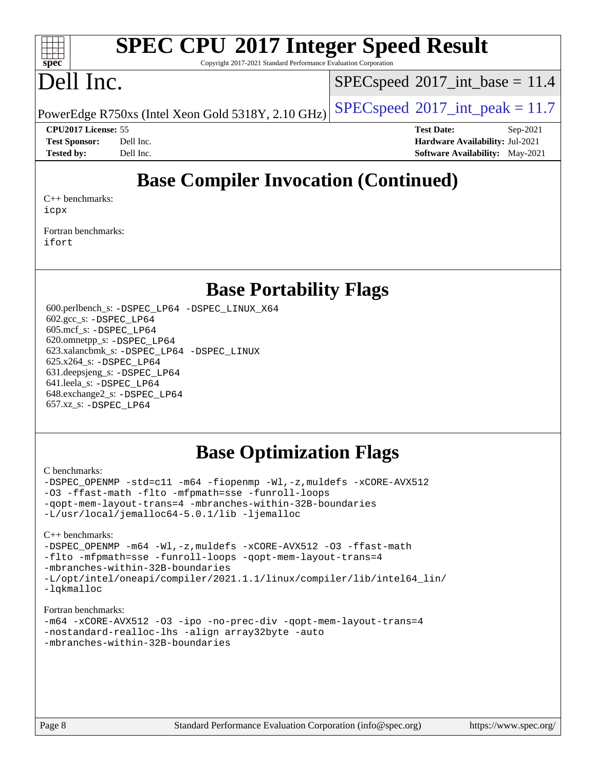#### $\pm t$ **[spec](http://www.spec.org/)**

# **[SPEC CPU](http://www.spec.org/auto/cpu2017/Docs/result-fields.html#SPECCPU2017IntegerSpeedResult)[2017 Integer Speed Result](http://www.spec.org/auto/cpu2017/Docs/result-fields.html#SPECCPU2017IntegerSpeedResult)**

Copyright 2017-2021 Standard Performance Evaluation Corporation

# Dell Inc.

 $SPECspeed^{\circ}2017\_int\_base = 11.4$  $SPECspeed^{\circ}2017\_int\_base = 11.4$ 

PowerEdge R750xs (Intel Xeon Gold 5318Y, 2.10 GHz)  $\left|$  [SPECspeed](http://www.spec.org/auto/cpu2017/Docs/result-fields.html#SPECspeed2017intpeak)®[2017\\_int\\_peak = 1](http://www.spec.org/auto/cpu2017/Docs/result-fields.html#SPECspeed2017intpeak)1.7

**[Tested by:](http://www.spec.org/auto/cpu2017/Docs/result-fields.html#Testedby)** Dell Inc. **[Software Availability:](http://www.spec.org/auto/cpu2017/Docs/result-fields.html#SoftwareAvailability)** May-2021

**[CPU2017 License:](http://www.spec.org/auto/cpu2017/Docs/result-fields.html#CPU2017License)** 55 **[Test Date:](http://www.spec.org/auto/cpu2017/Docs/result-fields.html#TestDate)** Sep-2021 **[Test Sponsor:](http://www.spec.org/auto/cpu2017/Docs/result-fields.html#TestSponsor)** Dell Inc. **[Hardware Availability:](http://www.spec.org/auto/cpu2017/Docs/result-fields.html#HardwareAvailability)** Jul-2021

# **[Base Compiler Invocation \(Continued\)](http://www.spec.org/auto/cpu2017/Docs/result-fields.html#BaseCompilerInvocation)**

[C++ benchmarks:](http://www.spec.org/auto/cpu2017/Docs/result-fields.html#CXXbenchmarks) [icpx](http://www.spec.org/cpu2017/results/res2021q4/cpu2017-20211025-29846.flags.html#user_CXXbase_intel_icpx_1e918ed14c436bf4b9b7c8bcdd51d4539fc71b3df010bd1e9f8732d9c34c2b2914e48204a846820f3c0ebb4095dea797a5c30b458ac0b6dffac65d78f781f5ca)

[Fortran benchmarks](http://www.spec.org/auto/cpu2017/Docs/result-fields.html#Fortranbenchmarks): [ifort](http://www.spec.org/cpu2017/results/res2021q4/cpu2017-20211025-29846.flags.html#user_FCbase_intel_ifort_8111460550e3ca792625aed983ce982f94888b8b503583aa7ba2b8303487b4d8a21a13e7191a45c5fd58ff318f48f9492884d4413fa793fd88dd292cad7027ca)

## **[Base Portability Flags](http://www.spec.org/auto/cpu2017/Docs/result-fields.html#BasePortabilityFlags)**

 600.perlbench\_s: [-DSPEC\\_LP64](http://www.spec.org/cpu2017/results/res2021q4/cpu2017-20211025-29846.flags.html#b600.perlbench_s_basePORTABILITY_DSPEC_LP64) [-DSPEC\\_LINUX\\_X64](http://www.spec.org/cpu2017/results/res2021q4/cpu2017-20211025-29846.flags.html#b600.perlbench_s_baseCPORTABILITY_DSPEC_LINUX_X64) 602.gcc\_s: [-DSPEC\\_LP64](http://www.spec.org/cpu2017/results/res2021q4/cpu2017-20211025-29846.flags.html#suite_basePORTABILITY602_gcc_s_DSPEC_LP64) 605.mcf\_s: [-DSPEC\\_LP64](http://www.spec.org/cpu2017/results/res2021q4/cpu2017-20211025-29846.flags.html#suite_basePORTABILITY605_mcf_s_DSPEC_LP64) 620.omnetpp\_s: [-DSPEC\\_LP64](http://www.spec.org/cpu2017/results/res2021q4/cpu2017-20211025-29846.flags.html#suite_basePORTABILITY620_omnetpp_s_DSPEC_LP64) 623.xalancbmk\_s: [-DSPEC\\_LP64](http://www.spec.org/cpu2017/results/res2021q4/cpu2017-20211025-29846.flags.html#suite_basePORTABILITY623_xalancbmk_s_DSPEC_LP64) [-DSPEC\\_LINUX](http://www.spec.org/cpu2017/results/res2021q4/cpu2017-20211025-29846.flags.html#b623.xalancbmk_s_baseCXXPORTABILITY_DSPEC_LINUX) 625.x264\_s: [-DSPEC\\_LP64](http://www.spec.org/cpu2017/results/res2021q4/cpu2017-20211025-29846.flags.html#suite_basePORTABILITY625_x264_s_DSPEC_LP64) 631.deepsjeng\_s: [-DSPEC\\_LP64](http://www.spec.org/cpu2017/results/res2021q4/cpu2017-20211025-29846.flags.html#suite_basePORTABILITY631_deepsjeng_s_DSPEC_LP64) 641.leela\_s: [-DSPEC\\_LP64](http://www.spec.org/cpu2017/results/res2021q4/cpu2017-20211025-29846.flags.html#suite_basePORTABILITY641_leela_s_DSPEC_LP64) 648.exchange2\_s: [-DSPEC\\_LP64](http://www.spec.org/cpu2017/results/res2021q4/cpu2017-20211025-29846.flags.html#suite_basePORTABILITY648_exchange2_s_DSPEC_LP64) 657.xz\_s: [-DSPEC\\_LP64](http://www.spec.org/cpu2017/results/res2021q4/cpu2017-20211025-29846.flags.html#suite_basePORTABILITY657_xz_s_DSPEC_LP64)

## **[Base Optimization Flags](http://www.spec.org/auto/cpu2017/Docs/result-fields.html#BaseOptimizationFlags)**

#### [C benchmarks](http://www.spec.org/auto/cpu2017/Docs/result-fields.html#Cbenchmarks):

[-DSPEC\\_OPENMP](http://www.spec.org/cpu2017/results/res2021q4/cpu2017-20211025-29846.flags.html#suite_CCbase_DSPEC_OPENMP) [-std=c11](http://www.spec.org/cpu2017/results/res2021q4/cpu2017-20211025-29846.flags.html#user_CCbase_std-icc-std_0e1c27790398a4642dfca32ffe6c27b5796f9c2d2676156f2e42c9c44eaad0c049b1cdb667a270c34d979996257aeb8fc440bfb01818dbc9357bd9d174cb8524) [-m64](http://www.spec.org/cpu2017/results/res2021q4/cpu2017-20211025-29846.flags.html#user_CCbase_m64-icc) [-fiopenmp](http://www.spec.org/cpu2017/results/res2021q4/cpu2017-20211025-29846.flags.html#user_CCbase_fiopenmp_4cde26b3fcccd23bd0bb70af4efc204325d72839eefa1147e34201101709f20b3deb62aad96701dea148529bf4ca48c90b72f3bf837ca148e297cf8a0ba6feb7) [-Wl,-z,muldefs](http://www.spec.org/cpu2017/results/res2021q4/cpu2017-20211025-29846.flags.html#user_CCbase_link_force_multiple1_b4cbdb97b34bdee9ceefcfe54f4c8ea74255f0b02a4b23e853cdb0e18eb4525ac79b5a88067c842dd0ee6996c24547a27a4b99331201badda8798ef8a743f577) [-xCORE-AVX512](http://www.spec.org/cpu2017/results/res2021q4/cpu2017-20211025-29846.flags.html#user_CCbase_f-xCORE-AVX512) [-O3](http://www.spec.org/cpu2017/results/res2021q4/cpu2017-20211025-29846.flags.html#user_CCbase_f-O3) [-ffast-math](http://www.spec.org/cpu2017/results/res2021q4/cpu2017-20211025-29846.flags.html#user_CCbase_f-ffast-math) [-flto](http://www.spec.org/cpu2017/results/res2021q4/cpu2017-20211025-29846.flags.html#user_CCbase_f-flto) [-mfpmath=sse](http://www.spec.org/cpu2017/results/res2021q4/cpu2017-20211025-29846.flags.html#user_CCbase_f-mfpmath_70eb8fac26bde974f8ab713bc9086c5621c0b8d2f6c86f38af0bd7062540daf19db5f3a066d8c6684be05d84c9b6322eb3b5be6619d967835195b93d6c02afa1) [-funroll-loops](http://www.spec.org/cpu2017/results/res2021q4/cpu2017-20211025-29846.flags.html#user_CCbase_f-funroll-loops) [-qopt-mem-layout-trans=4](http://www.spec.org/cpu2017/results/res2021q4/cpu2017-20211025-29846.flags.html#user_CCbase_f-qopt-mem-layout-trans_fa39e755916c150a61361b7846f310bcdf6f04e385ef281cadf3647acec3f0ae266d1a1d22d972a7087a248fd4e6ca390a3634700869573d231a252c784941a8) [-mbranches-within-32B-boundaries](http://www.spec.org/cpu2017/results/res2021q4/cpu2017-20211025-29846.flags.html#user_CCbase_f-mbranches-within-32B-boundaries) [-L/usr/local/jemalloc64-5.0.1/lib](http://www.spec.org/cpu2017/results/res2021q4/cpu2017-20211025-29846.flags.html#user_CCbase_jemalloc_link_path64_1_cc289568b1a6c0fd3b62c91b824c27fcb5af5e8098e6ad028160d21144ef1b8aef3170d2acf0bee98a8da324cfe4f67d0a3d0c4cc4673d993d694dc2a0df248b) [-ljemalloc](http://www.spec.org/cpu2017/results/res2021q4/cpu2017-20211025-29846.flags.html#user_CCbase_jemalloc_link_lib_d1249b907c500fa1c0672f44f562e3d0f79738ae9e3c4a9c376d49f265a04b9c99b167ecedbf6711b3085be911c67ff61f150a17b3472be731631ba4d0471706)

[C++ benchmarks:](http://www.spec.org/auto/cpu2017/Docs/result-fields.html#CXXbenchmarks) [-DSPEC\\_OPENMP](http://www.spec.org/cpu2017/results/res2021q4/cpu2017-20211025-29846.flags.html#suite_CXXbase_DSPEC_OPENMP) [-m64](http://www.spec.org/cpu2017/results/res2021q4/cpu2017-20211025-29846.flags.html#user_CXXbase_m64-icc) [-Wl,-z,muldefs](http://www.spec.org/cpu2017/results/res2021q4/cpu2017-20211025-29846.flags.html#user_CXXbase_link_force_multiple1_b4cbdb97b34bdee9ceefcfe54f4c8ea74255f0b02a4b23e853cdb0e18eb4525ac79b5a88067c842dd0ee6996c24547a27a4b99331201badda8798ef8a743f577) [-xCORE-AVX512](http://www.spec.org/cpu2017/results/res2021q4/cpu2017-20211025-29846.flags.html#user_CXXbase_f-xCORE-AVX512) [-O3](http://www.spec.org/cpu2017/results/res2021q4/cpu2017-20211025-29846.flags.html#user_CXXbase_f-O3) [-ffast-math](http://www.spec.org/cpu2017/results/res2021q4/cpu2017-20211025-29846.flags.html#user_CXXbase_f-ffast-math) [-flto](http://www.spec.org/cpu2017/results/res2021q4/cpu2017-20211025-29846.flags.html#user_CXXbase_f-flto) [-mfpmath=sse](http://www.spec.org/cpu2017/results/res2021q4/cpu2017-20211025-29846.flags.html#user_CXXbase_f-mfpmath_70eb8fac26bde974f8ab713bc9086c5621c0b8d2f6c86f38af0bd7062540daf19db5f3a066d8c6684be05d84c9b6322eb3b5be6619d967835195b93d6c02afa1) [-funroll-loops](http://www.spec.org/cpu2017/results/res2021q4/cpu2017-20211025-29846.flags.html#user_CXXbase_f-funroll-loops) [-qopt-mem-layout-trans=4](http://www.spec.org/cpu2017/results/res2021q4/cpu2017-20211025-29846.flags.html#user_CXXbase_f-qopt-mem-layout-trans_fa39e755916c150a61361b7846f310bcdf6f04e385ef281cadf3647acec3f0ae266d1a1d22d972a7087a248fd4e6ca390a3634700869573d231a252c784941a8) [-mbranches-within-32B-boundaries](http://www.spec.org/cpu2017/results/res2021q4/cpu2017-20211025-29846.flags.html#user_CXXbase_f-mbranches-within-32B-boundaries) [-L/opt/intel/oneapi/compiler/2021.1.1/linux/compiler/lib/intel64\\_lin/](http://www.spec.org/cpu2017/results/res2021q4/cpu2017-20211025-29846.flags.html#user_CXXbase_linkpath_765a8c93c4ea33dfc565a33ecb48f4f7d02a6338709b3b362f341eb203a06426ce1d12ded4c7809f6ab6cf0e9f5515cffeb4efc405b63f85dc27a83bbbdeb3a3) [-lqkmalloc](http://www.spec.org/cpu2017/results/res2021q4/cpu2017-20211025-29846.flags.html#user_CXXbase_qkmalloc_link_lib_79a818439969f771c6bc311cfd333c00fc099dad35c030f5aab9dda831713d2015205805422f83de8875488a2991c0a156aaa600e1f9138f8fc37004abc96dc5)

#### [Fortran benchmarks](http://www.spec.org/auto/cpu2017/Docs/result-fields.html#Fortranbenchmarks):

```
-m64 -xCORE-AVX512 -O3 -ipo -no-prec-div -qopt-mem-layout-trans=4
-nostandard-realloc-lhs -align array32byte -auto
-mbranches-within-32B-boundaries
```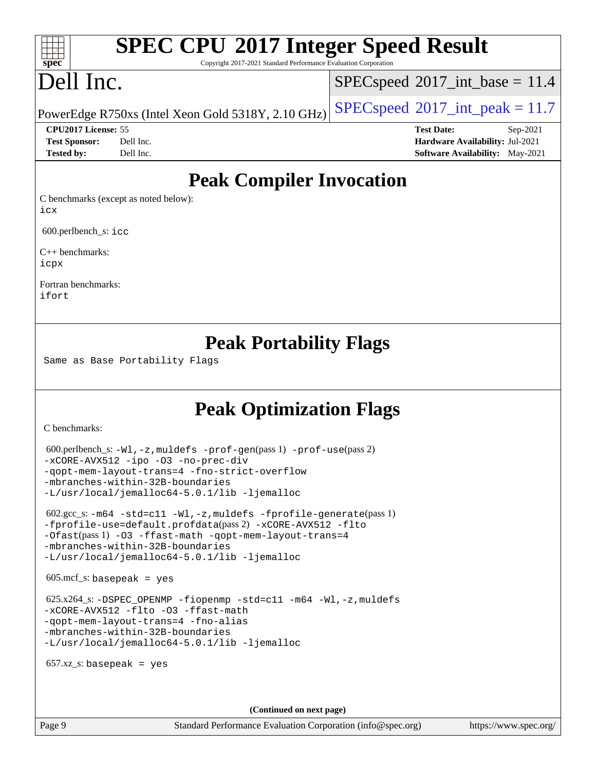# **[SPEC CPU](http://www.spec.org/auto/cpu2017/Docs/result-fields.html#SPECCPU2017IntegerSpeedResult)[2017 Integer Speed Result](http://www.spec.org/auto/cpu2017/Docs/result-fields.html#SPECCPU2017IntegerSpeedResult)**

Copyright 2017-2021 Standard Performance Evaluation Corporation

# Dell Inc.

**[spec](http://www.spec.org/)**

 $\pm\pm\prime$ 

 $SPECspeed^{\circ}2017\_int\_base = 11.4$  $SPECspeed^{\circ}2017\_int\_base = 11.4$ 

PowerEdge R750xs (Intel Xeon Gold 5318Y, 2.10 GHz) [SPECspeed](http://www.spec.org/auto/cpu2017/Docs/result-fields.html#SPECspeed2017intpeak)<sup>®</sup>[2017\\_int\\_peak = 1](http://www.spec.org/auto/cpu2017/Docs/result-fields.html#SPECspeed2017intpeak)1.7

**[CPU2017 License:](http://www.spec.org/auto/cpu2017/Docs/result-fields.html#CPU2017License)** 55 **[Test Date:](http://www.spec.org/auto/cpu2017/Docs/result-fields.html#TestDate)** Sep-2021 **[Test Sponsor:](http://www.spec.org/auto/cpu2017/Docs/result-fields.html#TestSponsor)** Dell Inc. **[Hardware Availability:](http://www.spec.org/auto/cpu2017/Docs/result-fields.html#HardwareAvailability)** Jul-2021 **[Tested by:](http://www.spec.org/auto/cpu2017/Docs/result-fields.html#Testedby)** Dell Inc. **[Software Availability:](http://www.spec.org/auto/cpu2017/Docs/result-fields.html#SoftwareAvailability)** May-2021

## **[Peak Compiler Invocation](http://www.spec.org/auto/cpu2017/Docs/result-fields.html#PeakCompilerInvocation)**

[C benchmarks \(except as noted below\)](http://www.spec.org/auto/cpu2017/Docs/result-fields.html#Cbenchmarksexceptasnotedbelow): [icx](http://www.spec.org/cpu2017/results/res2021q4/cpu2017-20211025-29846.flags.html#user_CCpeak_intel_icx_fe2d28d19ae2a5db7c42fe0f2a2aed77cb715edd4aeb23434404a8be6683fe239869bb6ca8154ca98265c2e3b9226a719a0efe2953a4a7018c379b7010ccf087)

600.perlbench\_s: [icc](http://www.spec.org/cpu2017/results/res2021q4/cpu2017-20211025-29846.flags.html#user_peakCCLD600_perlbench_s_intel_icc_66fc1ee009f7361af1fbd72ca7dcefbb700085f36577c54f309893dd4ec40d12360134090235512931783d35fd58c0460139e722d5067c5574d8eaf2b3e37e92)

[C++ benchmarks:](http://www.spec.org/auto/cpu2017/Docs/result-fields.html#CXXbenchmarks) [icpx](http://www.spec.org/cpu2017/results/res2021q4/cpu2017-20211025-29846.flags.html#user_CXXpeak_intel_icpx_1e918ed14c436bf4b9b7c8bcdd51d4539fc71b3df010bd1e9f8732d9c34c2b2914e48204a846820f3c0ebb4095dea797a5c30b458ac0b6dffac65d78f781f5ca)

[Fortran benchmarks](http://www.spec.org/auto/cpu2017/Docs/result-fields.html#Fortranbenchmarks): [ifort](http://www.spec.org/cpu2017/results/res2021q4/cpu2017-20211025-29846.flags.html#user_FCpeak_intel_ifort_8111460550e3ca792625aed983ce982f94888b8b503583aa7ba2b8303487b4d8a21a13e7191a45c5fd58ff318f48f9492884d4413fa793fd88dd292cad7027ca)

## **[Peak Portability Flags](http://www.spec.org/auto/cpu2017/Docs/result-fields.html#PeakPortabilityFlags)**

Same as Base Portability Flags

## **[Peak Optimization Flags](http://www.spec.org/auto/cpu2017/Docs/result-fields.html#PeakOptimizationFlags)**

[C benchmarks](http://www.spec.org/auto/cpu2017/Docs/result-fields.html#Cbenchmarks):

```
 600.perlbench_s: -Wl,-z,muldefs -prof-gen(pass 1) -prof-use(pass 2)
-xCORE-AVX512 -ipo -O3 -no-prec-div
-qopt-mem-layout-trans=4 -fno-strict-overflow
-mbranches-within-32B-boundaries
-L/usr/local/jemalloc64-5.0.1/lib -ljemalloc
 602.gcc_s: -m64 -std=c11 -Wl,-z,muldefs -fprofile-generate(pass 1)
-fprofile-use=default.profdata(pass 2) -xCORE-AVX512 -flto
-Ofast(pass 1) -O3 -ffast-math -qopt-mem-layout-trans=4
-mbranches-within-32B-boundaries
-L/usr/local/jemalloc64-5.0.1/lib -ljemalloc
605 \text{.mcf}\text{-}\mathrm{s}: basepeak = yes
625.x264-fiopenmp-std=c11-m64-Wl,-z,muldefs
-xCORE-AVX512 -flto -O3 -ffast-math
-qopt-mem-layout-trans=4 -fno-alias
-mbranches-within-32B-boundaries
-L/usr/local/jemalloc64-5.0.1/lib -ljemalloc
657.xz s: basepeak = yes
                                     (Continued on next page)
```